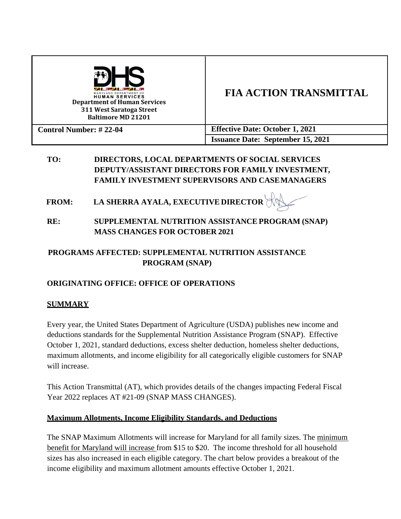| MARYLAND DEPARTMENT OF<br><b>HUMAN SERVICES</b><br><b>Department of Human Services</b><br>311 West Saratoga Street<br><b>Baltimore MD 21201</b> | <b>FIA ACTION TRANSMITTAL</b>            |
|-------------------------------------------------------------------------------------------------------------------------------------------------|------------------------------------------|
| <b>Control Number: #22-04</b>                                                                                                                   | <b>Effective Date: October 1, 2021</b>   |
|                                                                                                                                                 | <b>Issuance Date: September 15, 2021</b> |

### **TO: DIRECTORS, LOCAL DEPARTMENTS OF SOCIAL SERVICES DEPUTY/ASSISTANT DIRECTORS FOR FAMILY INVESTMENT, FAMILY INVESTMENT SUPERVISORS AND CASEMANAGERS**

- **FROM: LA SHERRA AYALA, EXECUTIVE DIRECTOR**
- **RE: SUPPLEMENTAL NUTRITION ASSISTANCE PROGRAM (SNAP) MASS CHANGES FOR OCTOBER 2021**

### **PROGRAMS AFFECTED: SUPPLEMENTAL NUTRITION ASSISTANCE PROGRAM (SNAP)**

### **ORIGINATING OFFICE: OFFICE OF OPERATIONS**

### **SUMMARY**

Every year, the United States Department of Agriculture (USDA) publishes new income and deductions standards for the Supplemental Nutrition Assistance Program (SNAP). Effective October 1, 2021, standard deductions, excess shelter deduction, homeless shelter deductions, maximum allotments, and income eligibility for all categorically eligible customers for SNAP will increase.

This Action Transmittal (AT), which provides details of the changes impacting Federal Fiscal Year 2022 replaces AT #21-09 (SNAP MASS CHANGES).

#### **Maximum Allotments, Income Eligibility Standards, and Deductions**

The SNAP Maximum Allotments will increase for Maryland for all family sizes. The minimum benefit for Maryland will increase from \$15 to \$20. The income threshold for all household sizes has also increased in each eligible category. The chart below provides a breakout of the income eligibility and maximum allotment amounts effective October 1, 2021.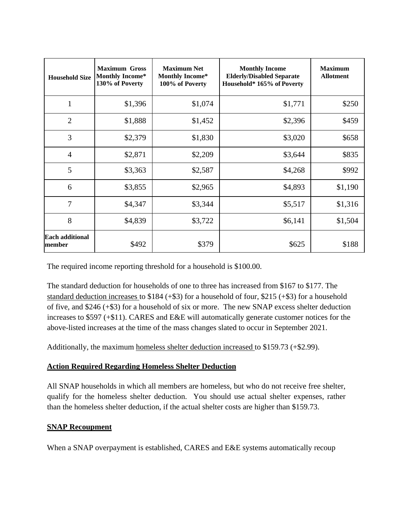| <b>Household Size</b>            | <b>Maximum Gross</b><br><b>Monthly Income*</b><br>130% of Poverty | <b>Maximum Net</b><br><b>Monthly Income*</b><br>100% of Poverty | <b>Monthly Income</b><br><b>Elderly/Disabled Separate</b><br>Household* 165% of Poverty | <b>Maximum</b><br><b>Allotment</b> |
|----------------------------------|-------------------------------------------------------------------|-----------------------------------------------------------------|-----------------------------------------------------------------------------------------|------------------------------------|
| 1                                | \$1,396                                                           | \$1,074                                                         | \$1,771                                                                                 | \$250                              |
| $\overline{2}$                   | \$1,888                                                           | \$1,452                                                         | \$2,396                                                                                 | \$459                              |
| 3                                | \$2,379                                                           | \$1,830                                                         | \$3,020                                                                                 | \$658                              |
| $\overline{4}$                   | \$2,871                                                           | \$2,209                                                         | \$3,644                                                                                 | \$835                              |
| 5                                | \$3,363                                                           | \$2,587                                                         | \$4,268                                                                                 | \$992                              |
| 6                                | \$3,855                                                           | \$2,965                                                         | \$4,893                                                                                 | \$1,190                            |
| $\overline{7}$                   | \$4,347                                                           | \$3,344                                                         | \$5,517                                                                                 | \$1,316                            |
| 8                                | \$4,839                                                           | \$3,722                                                         | \$6,141                                                                                 | \$1,504                            |
| <b>Each additional</b><br>member | \$492                                                             | \$379                                                           | \$625                                                                                   | \$188                              |

The required income reporting threshold for a household is \$100.00.

The standard deduction for households of one to three has increased from \$167 to \$177. The standard deduction increases to \$184 (+\$3) for a household of four, \$215 (+\$3) for a household of five, and \$246 (+\$3) for a household of six or more. The new SNAP excess shelter deduction increases to \$597 (+\$11). CARES and E&E will automatically generate customer notices for the above-listed increases at the time of the mass changes slated to occur in September 2021.

Additionally, the maximum homeless shelter deduction increased to \$159.73 (+\$2.99).

#### **Action Required Regarding Homeless Shelter Deduction**

All SNAP households in which all members are homeless, but who do not receive free shelter, qualify for the homeless shelter deduction. You should use actual shelter expenses, rather than the homeless shelter deduction, if the actual shelter costs are higher than \$159.73.

#### **SNAP Recoupment**

When a SNAP overpayment is established, CARES and E&E systems automatically recoup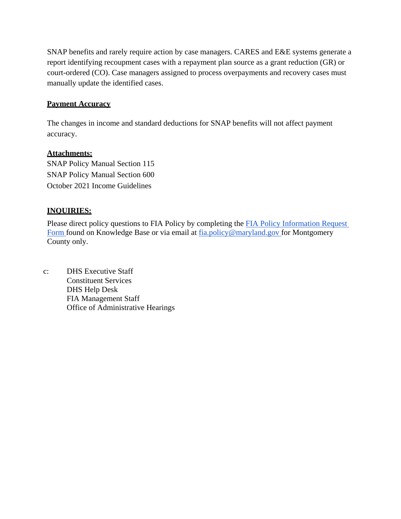SNAP benefits and rarely require action by case managers. CARES and E&E systems generate a report identifying recoupment cases with a repayment plan source as a grant reduction (GR) or court-ordered (CO). Case managers assigned to process overpayments and recovery cases must manually update the identified cases.

#### **Payment Accuracy**

The changes in income and standard deductions for SNAP benefits will not affect payment accuracy.

#### **Attachments:**

SNAP Policy Manual Section 115 SNAP Policy Manual Section 600 October 2021 Income Guidelines

#### **INQUIRIES:**

Please direct policy questions to FIA Policy by completing the [FIA Policy Information Request](https://kb.dhs.maryland.gov/family-investment-administration/contact-us-with-your-fia-program-eligibility-policy-question/) [Form f](https://kb.dhs.maryland.gov/family-investment-administration/contact-us-with-your-fia-program-eligibility-policy-question/)ound on Knowledge Base or via email at [fia.policy@maryland.gov](mailto:fia.policy@maryland.gov) for Montgomery County only.

c: DHS Executive Staff Constituent Services DHS Help Desk FIA Management Staff Office of Administrative Hearings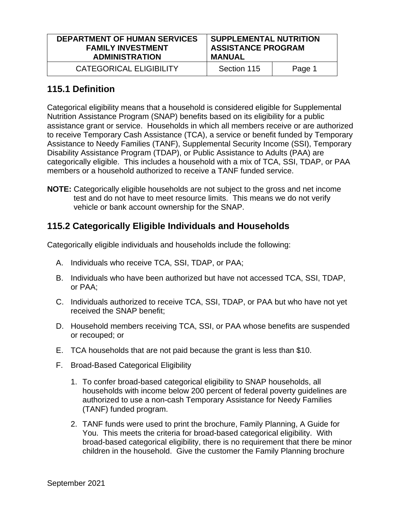| <b>DEPARTMENT OF HUMAN SERVICES</b> | <b>SUPPLEMENTAL NUTRITION</b> |        |
|-------------------------------------|-------------------------------|--------|
| <b>FAMILY INVESTMENT</b>            | <b>ASSISTANCE PROGRAM</b>     |        |
| <b>ADMINISTRATION</b>               | <b>MANUAL</b>                 |        |
| <b>CATEGORICAL ELIGIBILITY</b>      | Section 115                   | Page 1 |

## **115.1 Definition**

Categorical eligibility means that a household is considered eligible for Supplemental Nutrition Assistance Program (SNAP) benefits based on its eligibility for a public assistance grant or service. Households in which all members receive or are authorized to receive Temporary Cash Assistance (TCA), a service or benefit funded by Temporary Assistance to Needy Families (TANF), Supplemental Security Income (SSI), Temporary Disability Assistance Program (TDAP), or Public Assistance to Adults (PAA) are categorically eligible. This includes a household with a mix of TCA, SSI, TDAP, or PAA members or a household authorized to receive a TANF funded service.

**NOTE:** Categorically eligible households are not subject to the gross and net income test and do not have to meet resource limits. This means we do not verify vehicle or bank account ownership for the SNAP.

# **115.2 Categorically Eligible Individuals and Households**

Categorically eligible individuals and households include the following:

- A. Individuals who receive TCA, SSI, TDAP, or PAA;
- B. Individuals who have been authorized but have not accessed TCA, SSI, TDAP, or PAA;
- C. Individuals authorized to receive TCA, SSI, TDAP, or PAA but who have not yet received the SNAP benefit;
- D. Household members receiving TCA, SSI, or PAA whose benefits are suspended or recouped; or
- E. TCA households that are not paid because the grant is less than \$10.
- F. Broad-Based Categorical Eligibility
	- 1. To confer broad-based categorical eligibility to SNAP households, all households with income below 200 percent of federal poverty guidelines are authorized to use a non-cash Temporary Assistance for Needy Families (TANF) funded program.
	- 2. TANF funds were used to print the brochure, Family Planning, A Guide for You. This meets the criteria for broad-based categorical eligibility. With broad-based categorical eligibility, there is no requirement that there be minor children in the household. Give the customer the Family Planning brochure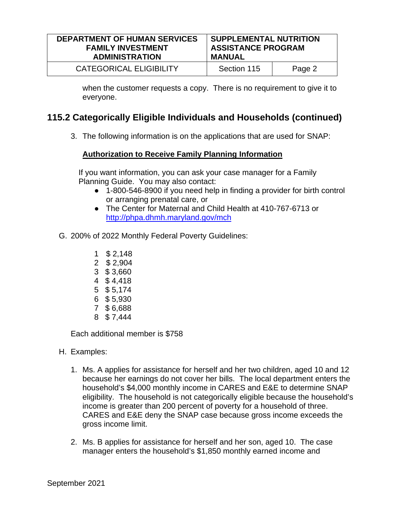| <b>DEPARTMENT OF HUMAN SERVICES</b> | <b>SUPPLEMENTAL NUTRITION</b> |        |
|-------------------------------------|-------------------------------|--------|
| <b>FAMILY INVESTMENT</b>            | <b>ASSISTANCE PROGRAM</b>     |        |
| <b>ADMINISTRATION</b>               | <b>MANUAL</b>                 |        |
| <b>CATEGORICAL ELIGIBILITY</b>      | Section 115                   | Page 2 |

when the customer requests a copy. There is no requirement to give it to everyone.

## **115.2 Categorically Eligible Individuals and Households (continued)**

3. The following information is on the applications that are used for SNAP:

#### **Authorization to Receive Family Planning Information**

If you want information, you can ask your case manager for a Family Planning Guide. You may also contact:

- 1-800-546-8900 if you need help in finding a provider for birth control or arranging prenatal care, or
- The Center for Maternal and Child Health at 410-767-6713 or <http://phpa.dhmh.maryland.gov/mch>
- G. 200% of 2022 Monthly Federal Poverty Guidelines:
	- 1 \$ 2,148
	- 2 \$ 2,904
	- 3 \$ 3,660
	- 4 \$ 4,418
	- 5 \$ 5,174
	- 6 \$ 5,930
	- 7 \$ 6,688
	- 8 \$ 7,444

Each additional member is \$758

- H. Examples:
	- 1. Ms. A applies for assistance for herself and her two children, aged 10 and 12 because her earnings do not cover her bills. The local department enters the household's \$4,000 monthly income in CARES and E&E to determine SNAP eligibility. The household is not categorically eligible because the household's income is greater than 200 percent of poverty for a household of three. CARES and E&E deny the SNAP case because gross income exceeds the gross income limit.
	- 2. Ms. B applies for assistance for herself and her son, aged 10. The case manager enters the household's \$1,850 monthly earned income and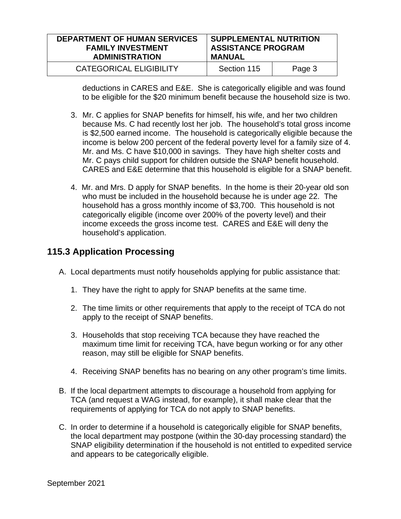| <b>DEPARTMENT OF HUMAN SERVICES</b> | <b>SUPPLEMENTAL NUTRITION</b> |        |
|-------------------------------------|-------------------------------|--------|
| <b>FAMILY INVESTMENT</b>            | <b>ASSISTANCE PROGRAM</b>     |        |
| <b>ADMINISTRATION</b>               | <b>MANUAL</b>                 |        |
| CATEGORICAL ELIGIBILITY             | Section 115                   | Page 3 |

deductions in CARES and E&E. She is categorically eligible and was found to be eligible for the \$20 minimum benefit because the household size is two.

- 3. Mr. C applies for SNAP benefits for himself, his wife, and her two children because Ms. C had recently lost her job. The household's total gross income is \$2,500 earned income. The household is categorically eligible because the income is below 200 percent of the federal poverty level for a family size of 4. Mr. and Ms. C have \$10,000 in savings. They have high shelter costs and Mr. C pays child support for children outside the SNAP benefit household. CARES and E&E determine that this household is eligible for a SNAP benefit.
- 4. Mr. and Mrs. D apply for SNAP benefits. In the home is their 20-year old son who must be included in the household because he is under age 22. The household has a gross monthly income of \$3,700. This household is not categorically eligible (income over 200% of the poverty level) and their income exceeds the gross income test. CARES and E&E will deny the household's application.

## **115.3 Application Processing**

- A. Local departments must notify households applying for public assistance that:
	- 1. They have the right to apply for SNAP benefits at the same time.
	- 2. The time limits or other requirements that apply to the receipt of TCA do not apply to the receipt of SNAP benefits.
	- 3. Households that stop receiving TCA because they have reached the maximum time limit for receiving TCA, have begun working or for any other reason, may still be eligible for SNAP benefits.
	- 4. Receiving SNAP benefits has no bearing on any other program's time limits.
- B. If the local department attempts to discourage a household from applying for TCA (and request a WAG instead, for example), it shall make clear that the requirements of applying for TCA do not apply to SNAP benefits.
- C. In order to determine if a household is categorically eligible for SNAP benefits, the local department may postpone (within the 30-day processing standard) the SNAP eligibility determination if the household is not entitled to expedited service and appears to be categorically eligible.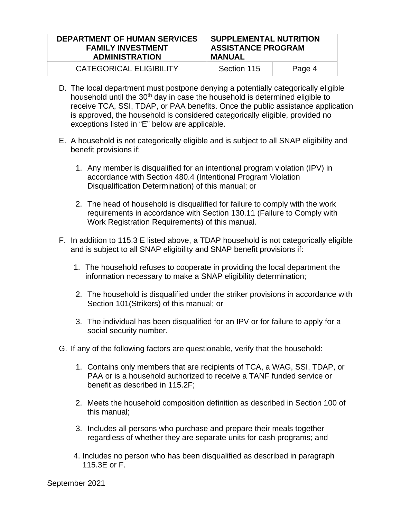| <b>DEPARTMENT OF HUMAN SERVICES</b> | <b>SUPPLEMENTAL NUTRITION</b> |        |
|-------------------------------------|-------------------------------|--------|
| <b>FAMILY INVESTMENT</b>            | <b>ASSISTANCE PROGRAM</b>     |        |
| <b>ADMINISTRATION</b>               | <b>MANUAL</b>                 |        |
| CATEGORICAL ELIGIBILITY             | Section 115                   | Page 4 |

- D. The local department must postpone denying a potentially categorically eligible household until the 30<sup>th</sup> day in case the household is determined eligible to receive TCA, SSI, TDAP, or PAA benefits. Once the public assistance application is approved, the household is considered categorically eligible, provided no exceptions listed in "E" below are applicable.
- E. A household is not categorically eligible and is subject to all SNAP eligibility and benefit provisions if:
	- 1. Any member is disqualified for an intentional program violation (IPV) in accordance with Section 480.4 (Intentional Program Violation Disqualification Determination) of this manual; or
	- 2. The head of household is disqualified for failure to comply with the work requirements in accordance with Section 130.11 (Failure to Comply with Work Registration Requirements) of this manual.
- F. In addition to 115.3 E listed above, a TDAP household is not categorically eligible and is subject to all SNAP eligibility and SNAP benefit provisions if:
	- 1. The household refuses to cooperate in providing the local department the information necessary to make a SNAP eligibility determination;
	- 2. The household is disqualified under the striker provisions in accordance with Section 101(Strikers) of this manual; or
	- 3. The individual has been disqualified for an IPV or for failure to apply for a social security number.
- G. If any of the following factors are questionable, verify that the household:
	- 1. Contains only members that are recipients of TCA, a WAG, SSI, TDAP, or PAA or is a household authorized to receive a TANF funded service or benefit as described in 115.2F;
	- 2. Meets the household composition definition as described in Section 100 of this manual;
	- 3. Includes all persons who purchase and prepare their meals together regardless of whether they are separate units for cash programs; and
	- 4. Includes no person who has been disqualified as described in paragraph 115.3E or F.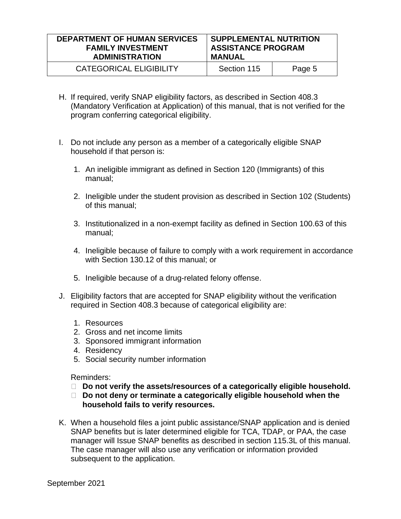| <b>DEPARTMENT OF HUMAN SERVICES</b> | SUPPLEMENTAL NUTRITION    |        |
|-------------------------------------|---------------------------|--------|
| <b>FAMILY INVESTMENT</b>            | <b>ASSISTANCE PROGRAM</b> |        |
| <b>ADMINISTRATION</b>               | <b>MANUAL</b>             |        |
| CATEGORICAL ELIGIBILITY             | Section 115               | Page 5 |

- H. If required, verify SNAP eligibility factors, as described in Section 408.3 (Mandatory Verification at Application) of this manual, that is not verified for the program conferring categorical eligibility.
- I. Do not include any person as a member of a categorically eligible SNAP household if that person is:
	- 1. An ineligible immigrant as defined in Section 120 (Immigrants) of this manual;
	- 2. Ineligible under the student provision as described in Section 102 (Students) of this manual;
	- 3. Institutionalized in a non-exempt facility as defined in Section 100.63 of this manual;
	- 4. Ineligible because of failure to comply with a work requirement in accordance with Section 130.12 of this manual; or
	- 5. Ineligible because of a drug-related felony offense.
- J. Eligibility factors that are accepted for SNAP eligibility without the verification required in Section 408.3 because of categorical eligibility are:
	- 1. Resources
	- 2. Gross and net income limits
	- 3. Sponsored immigrant information
	- 4. Residency
	- 5. Social security number information

Reminders:

- □ Do not verify the assets/resources of a categorically eligible household.
- □ Do not deny or terminate a categorically eligible household when the **household fails to verify resources.**
- K. When a household files a joint public assistance/SNAP application and is denied SNAP benefits but is later determined eligible for TCA, TDAP, or PAA, the case manager will Issue SNAP benefits as described in section 115.3L of this manual. The case manager will also use any verification or information provided subsequent to the application.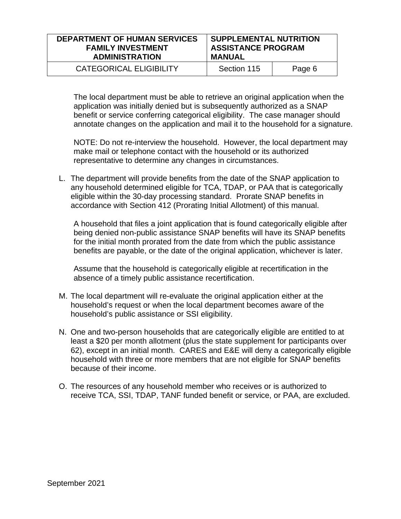| <b>DEPARTMENT OF HUMAN SERVICES</b> | SUPPLEMENTAL NUTRITION    |        |
|-------------------------------------|---------------------------|--------|
| <b>FAMILY INVESTMENT</b>            | <b>ASSISTANCE PROGRAM</b> |        |
| <b>ADMINISTRATION</b>               | <b>MANUAL</b>             |        |
| CATEGORICAL ELIGIBILITY             | Section 115               | Page 6 |

The local department must be able to retrieve an original application when the application was initially denied but is subsequently authorized as a SNAP benefit or service conferring categorical eligibility. The case manager should annotate changes on the application and mail it to the household for a signature.

NOTE: Do not re-interview the household. However, the local department may make mail or telephone contact with the household or its authorized representative to determine any changes in circumstances.

L. The department will provide benefits from the date of the SNAP application to any household determined eligible for TCA, TDAP, or PAA that is categorically eligible within the 30-day processing standard. Prorate SNAP benefits in accordance with Section 412 (Prorating Initial Allotment) of this manual.

A household that files a joint application that is found categorically eligible after being denied non-public assistance SNAP benefits will have its SNAP benefits for the initial month prorated from the date from which the public assistance benefits are payable, or the date of the original application, whichever is later.

Assume that the household is categorically eligible at recertification in the absence of a timely public assistance recertification.

- M. The local department will re-evaluate the original application either at the household's request or when the local department becomes aware of the household's public assistance or SSI eligibility.
- N. One and two-person households that are categorically eligible are entitled to at least a \$20 per month allotment (plus the state supplement for participants over 62), except in an initial month. CARES and E&E will deny a categorically eligible household with three or more members that are not eligible for SNAP benefits because of their income.
- O. The resources of any household member who receives or is authorized to receive TCA, SSI, TDAP, TANF funded benefit or service, or PAA, are excluded.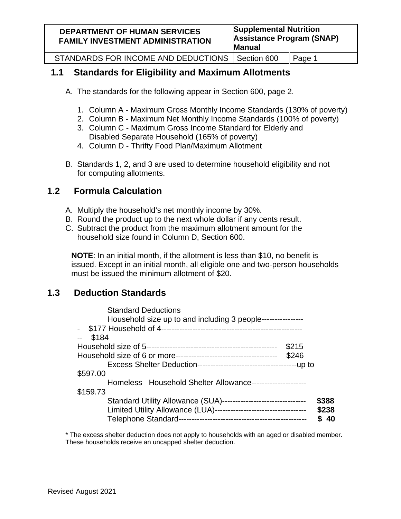| <b>DEPARTMENT OF HUMAN SERVICES</b><br><b>FAMILY INVESTMENT ADMINISTRATION</b> | <b>Supplemental Nutrition</b><br><b>Assistance Program (SNAP)</b><br><b>Manual</b> |        |
|--------------------------------------------------------------------------------|------------------------------------------------------------------------------------|--------|
| STANDARDS FOR INCOME AND DEDUCTIONS   Section 600                              |                                                                                    | Page 1 |

# **1.1 Standards for Eligibility and Maximum Allotments**

- A. The standards for the following appear in Section 600, page 2.
	- 1. Column A Maximum Gross Monthly Income Standards (130% of poverty)
	- 2. Column B Maximum Net Monthly Income Standards (100% of poverty)
	- 3. Column C Maximum Gross Income Standard for Elderly and Disabled Separate Household (165% of poverty)
	- 4. Column D Thrifty Food Plan/Maximum Allotment
- B. Standards 1, 2, and 3 are used to determine household eligibility and not for computing allotments.

# **1.2 Formula Calculation**

- A. Multiply the household's net monthly income by 30%.
- B. Round the product up to the next whole dollar if any cents result.
- C. Subtract the product from the maximum allotment amount for the household size found in Column D, Section 600.

**NOTE**: In an initial month, if the allotment is less than \$10, no benefit is issued. Except in an initial month, all eligible one and two-person households must be issued the minimum allotment of \$20.

# **1.3 Deduction Standards**

| <b>Standard Deductions</b>                                         |       |
|--------------------------------------------------------------------|-------|
| Household size up to and including 3 people----------------        |       |
|                                                                    |       |
| \$184                                                              |       |
| \$215                                                              |       |
| \$246                                                              |       |
|                                                                    |       |
| \$597.00                                                           |       |
| Homeless Household Shelter Allowance---------------------          |       |
| \$159.73                                                           |       |
| Standard Utility Allowance (SUA)--------------------------------   | \$388 |
| Limited Utility Allowance (LUA)----------------------------------- | \$238 |
| <b>Telephone Standard-</b>                                         | 40    |

\* The excess shelter deduction does not apply to households with an aged or disabled member. These households receive an uncapped shelter deduction.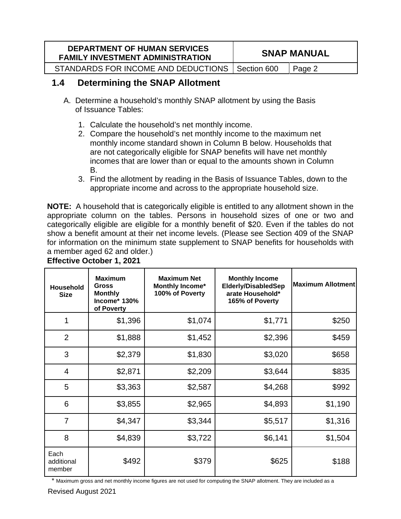| <b>DEPARTMENT OF HUMAN SERVICES</b><br><b>FAMILY INVESTMENT ADMINISTRATION</b> | <b>SNAP MANUAL</b> |        |
|--------------------------------------------------------------------------------|--------------------|--------|
| STANDARDS FOR INCOME AND DEDUCTIONS   Section 600                              |                    | Page 2 |

## **1.4 Determining the SNAP Allotment**

- A. Determine a household's monthly SNAP allotment by using the Basis of Issuance Tables:
	- 1. Calculate the household's net monthly income.
	- 2. Compare the household's net monthly income to the maximum net monthly income standard shown in Column B below. Households that are not categorically eligible for SNAP benefits will have net monthly incomes that are lower than or equal to the amounts shown in Column B.
	- 3. Find the allotment by reading in the Basis of Issuance Tables, down to the appropriate income and across to the appropriate household size.

**NOTE:** A household that is categorically eligible is entitled to any allotment shown in the appropriate column on the tables. Persons in household sizes of one or two and categorically eligible are eligible for a monthly benefit of \$20. Even if the tables do not show a benefit amount at their net income levels. (Please see Section 409 of the SNAP for information on the minimum state supplement to SNAP benefits for households with a member aged 62 and older.)

| <b>Household</b><br><b>Size</b> | <b>Maximum</b><br>Gross<br><b>Monthly</b><br>Income* 130%<br>of Poverty | <b>Maximum Net</b><br><b>Monthly Income*</b><br>100% of Poverty | <b>Monthly Income</b><br><b>Elderly/DisabledSep</b><br>arate Household*<br>165% of Poverty | <b>Maximum Allotment</b> |
|---------------------------------|-------------------------------------------------------------------------|-----------------------------------------------------------------|--------------------------------------------------------------------------------------------|--------------------------|
| 1                               | \$1,396                                                                 | \$1,074                                                         | \$1,771                                                                                    | \$250                    |
| $\overline{2}$                  | \$1,888                                                                 | \$1,452                                                         | \$2,396                                                                                    | \$459                    |
| 3                               | \$2,379                                                                 | \$1,830                                                         | \$3,020                                                                                    | \$658                    |
| $\overline{4}$                  | \$2,871                                                                 | \$2,209                                                         | \$3,644                                                                                    | \$835                    |
| 5                               | \$3,363                                                                 | \$2,587                                                         | \$4,268                                                                                    | \$992                    |
| $6\phantom{1}6$                 | \$3,855                                                                 | \$2,965                                                         | \$4,893                                                                                    | \$1,190                  |
| $\overline{7}$                  | \$4,347                                                                 | \$3,344                                                         | \$5,517                                                                                    | \$1,316                  |
| 8                               | \$4,839                                                                 | \$3,722                                                         | \$6,141                                                                                    | \$1,504                  |
| Each<br>additional<br>member    | \$492                                                                   | \$379                                                           | \$625                                                                                      | \$188                    |

**Effective October 1, 2021**

Maximum gross and net monthly income figures are not used for computing the SNAP allotment. They are included as a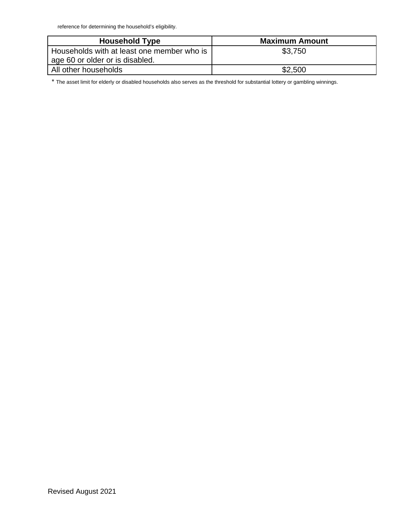reference for determining the household's eligibility.

| <b>Household Type</b>                                                         | <b>Maximum Amount</b> |
|-------------------------------------------------------------------------------|-----------------------|
| Households with at least one member who is<br>age 60 or older or is disabled. | \$3,750               |
| All other households                                                          | \$2,500               |

\* The asset limit for elderly or disabled households also serves as the threshold for substantial lottery or gambling winnings.